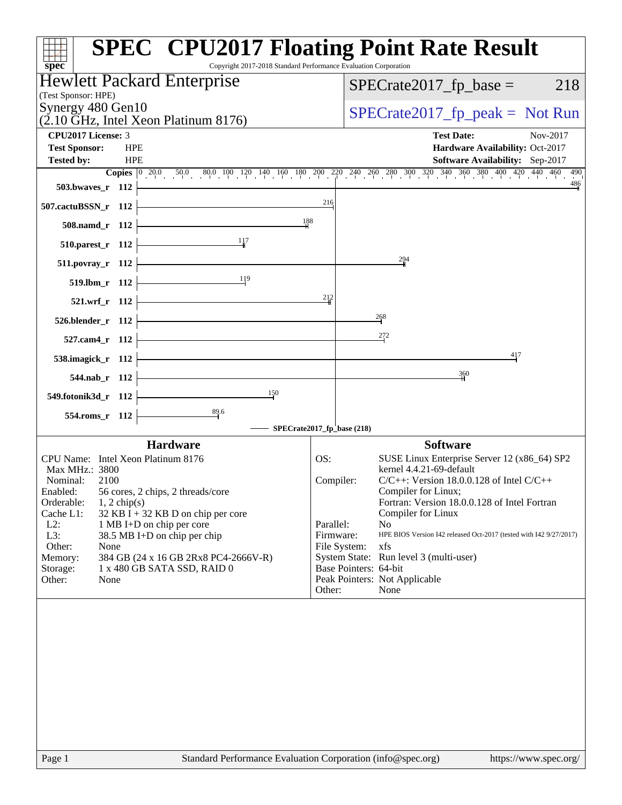| <b>SPEC<sup>®</sup> CPU2017 Floating Point Rate Result</b><br>Copyright 2017-2018 Standard Performance Evaluation Corporation<br>$spec^*$ |                           |                                                                                                                                                                                               |
|-------------------------------------------------------------------------------------------------------------------------------------------|---------------------------|-----------------------------------------------------------------------------------------------------------------------------------------------------------------------------------------------|
| <b>Hewlett Packard Enterprise</b><br>(Test Sponsor: HPE)                                                                                  |                           | $SPECrate2017_fp\_base =$<br>218                                                                                                                                                              |
| Synergy 480 Gen10<br>$(2.10 \text{ GHz}, \text{Intel Xeon Platinum } 8176)$                                                               |                           | $SPECrate2017_fp\_peak = Not Run$                                                                                                                                                             |
| <b>CPU2017 License: 3</b>                                                                                                                 |                           | <b>Test Date:</b><br>Nov-2017                                                                                                                                                                 |
| <b>HPE</b><br><b>Test Sponsor:</b><br><b>HPE</b><br><b>Tested by:</b>                                                                     |                           | Hardware Availability: Oct-2017<br><b>Software Availability:</b> Sep-2017                                                                                                                     |
|                                                                                                                                           |                           | <b>Copies</b> $\begin{bmatrix} 0 & 20.0 & 50.0 & 80.0 & 100 & 120 & 140 & 160 & 180 & 200 & 220 & 240 & 260 & 280 & 300 & 320 & 340 & 360 & 380 & 400 & 420 & 440 & 460 \end{bmatrix}$<br>490 |
| 503.bwaves_r 112                                                                                                                          | 216                       | 486                                                                                                                                                                                           |
| 507.cactuBSSN_r 112                                                                                                                       |                           |                                                                                                                                                                                               |
| 188<br>508.namd_r 112                                                                                                                     |                           |                                                                                                                                                                                               |
| 117<br>510.parest_r 112                                                                                                                   |                           |                                                                                                                                                                                               |
| 511.povray_r 112                                                                                                                          |                           | 294                                                                                                                                                                                           |
| 119<br>519.lbm_r 112                                                                                                                      |                           |                                                                                                                                                                                               |
| 521.wrf_r 112                                                                                                                             | 212                       |                                                                                                                                                                                               |
| 526.blender_r 112                                                                                                                         |                           | 268                                                                                                                                                                                           |
| 527.cam4_r 112                                                                                                                            |                           | 272                                                                                                                                                                                           |
| 538.imagick_r 112                                                                                                                         |                           | 417                                                                                                                                                                                           |
| 544.nab_r 112                                                                                                                             |                           | 360                                                                                                                                                                                           |
| $\frac{150}{2}$<br>549.fotonik3d_r 112                                                                                                    |                           |                                                                                                                                                                                               |
| $\frac{89.6}{4}$<br>554.roms_r 112                                                                                                        |                           |                                                                                                                                                                                               |
| SPECrate2017_fp_base (218)                                                                                                                |                           |                                                                                                                                                                                               |
| <b>Hardware</b>                                                                                                                           |                           | <b>Software</b>                                                                                                                                                                               |
| CPU Name: Intel Xeon Platinum 8176                                                                                                        | OS:                       | SUSE Linux Enterprise Server 12 (x86_64) SP2                                                                                                                                                  |
| Max MHz.: 3800                                                                                                                            |                           | kernel 4.4.21-69-default                                                                                                                                                                      |
| Nominal:<br>2100<br>56 cores, 2 chips, 2 threads/core<br>Enabled:                                                                         | Compiler:                 | $C/C++$ : Version 18.0.0.128 of Intel $C/C++$<br>Compiler for Linux;                                                                                                                          |
| Orderable:<br>$1, 2$ chip(s)                                                                                                              |                           | Fortran: Version 18.0.0.128 of Intel Fortran                                                                                                                                                  |
| Cache L1:<br>$32$ KB I + 32 KB D on chip per core                                                                                         |                           | Compiler for Linux                                                                                                                                                                            |
| $L2$ :<br>1 MB I+D on chip per core                                                                                                       | Parallel:                 | N <sub>o</sub><br>HPE BIOS Version I42 released Oct-2017 (tested with I42 9/27/2017)                                                                                                          |
| L3:<br>38.5 MB I+D on chip per chip<br>Other:<br>None                                                                                     | Firmware:<br>File System: | xfs                                                                                                                                                                                           |
| 384 GB (24 x 16 GB 2Rx8 PC4-2666V-R)<br>Memory:                                                                                           |                           | System State: Run level 3 (multi-user)                                                                                                                                                        |
| Storage:<br>1 x 480 GB SATA SSD, RAID 0                                                                                                   |                           | Base Pointers: 64-bit                                                                                                                                                                         |
| Other:<br>None                                                                                                                            | Other:                    | Peak Pointers: Not Applicable<br>None                                                                                                                                                         |
|                                                                                                                                           |                           |                                                                                                                                                                                               |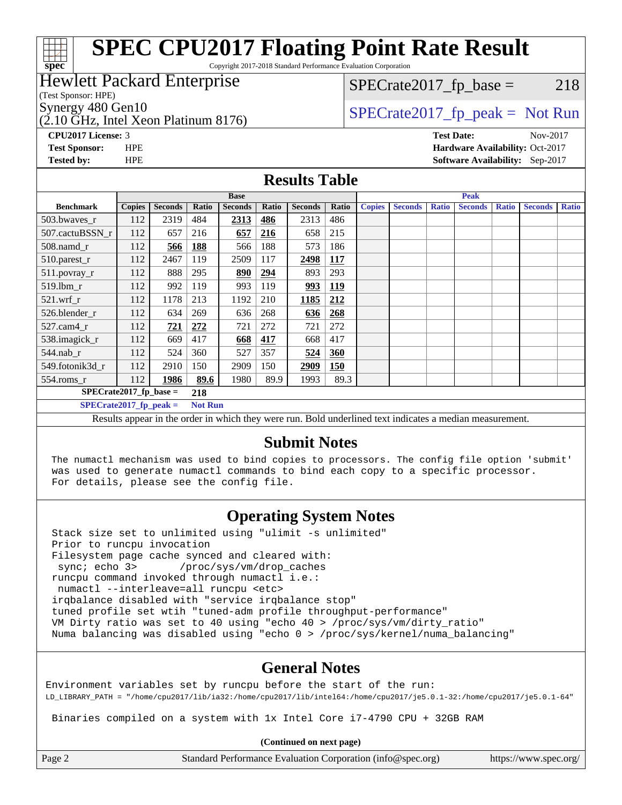## **[spec](http://www.spec.org/)**

## **[SPEC CPU2017 Floating Point Rate Result](http://www.spec.org/auto/cpu2017/Docs/result-fields.html#SPECCPU2017FloatingPointRateResult)**

Copyright 2017-2018 Standard Performance Evaluation Corporation

#### Hewlett Packard Enterprise

(Test Sponsor: HPE)

(2.10 GHz, Intel Xeon Platinum 8176)

 $SPECTate2017<sub>fr</sub> base = 218$ 

### Synergy 480 Gen10  $SPECrate2017$  fp\_peak = Not Run

**[CPU2017 License:](http://www.spec.org/auto/cpu2017/Docs/result-fields.html#CPU2017License)** 3 **[Test Date:](http://www.spec.org/auto/cpu2017/Docs/result-fields.html#TestDate)** Nov-2017 **[Test Sponsor:](http://www.spec.org/auto/cpu2017/Docs/result-fields.html#TestSponsor)** HPE **[Hardware Availability:](http://www.spec.org/auto/cpu2017/Docs/result-fields.html#HardwareAvailability)** Oct-2017 **[Tested by:](http://www.spec.org/auto/cpu2017/Docs/result-fields.html#Testedby)** HPE **[Software Availability:](http://www.spec.org/auto/cpu2017/Docs/result-fields.html#SoftwareAvailability)** Sep-2017

#### **[Results Table](http://www.spec.org/auto/cpu2017/Docs/result-fields.html#ResultsTable)**

|                                                                                                                                                                                                                                                                                                                                                                                                                                                                                                                                                                            | <b>Base</b>   |                |       |                |            |                | <b>Peak</b> |               |                |              |                |              |                |              |
|----------------------------------------------------------------------------------------------------------------------------------------------------------------------------------------------------------------------------------------------------------------------------------------------------------------------------------------------------------------------------------------------------------------------------------------------------------------------------------------------------------------------------------------------------------------------------|---------------|----------------|-------|----------------|------------|----------------|-------------|---------------|----------------|--------------|----------------|--------------|----------------|--------------|
| <b>Benchmark</b>                                                                                                                                                                                                                                                                                                                                                                                                                                                                                                                                                           | <b>Copies</b> | <b>Seconds</b> | Ratio | <b>Seconds</b> | Ratio      | <b>Seconds</b> | Ratio       | <b>Copies</b> | <b>Seconds</b> | <b>Ratio</b> | <b>Seconds</b> | <b>Ratio</b> | <b>Seconds</b> | <b>Ratio</b> |
| 503.bwayes r                                                                                                                                                                                                                                                                                                                                                                                                                                                                                                                                                               | 112           | 2319           | 484   | 2313           | 486        | 2313           | 486         |               |                |              |                |              |                |              |
| 507.cactuBSSN r                                                                                                                                                                                                                                                                                                                                                                                                                                                                                                                                                            | 112           | 657            | 216   | 657            | <u>216</u> | 658            | 215         |               |                |              |                |              |                |              |
| 508.namd_r                                                                                                                                                                                                                                                                                                                                                                                                                                                                                                                                                                 | 112           | 566            | 188   | 566            | 188        | 573            | 186         |               |                |              |                |              |                |              |
| 510.parest_r                                                                                                                                                                                                                                                                                                                                                                                                                                                                                                                                                               | 112           | 2467           | 119   | 2509           | 117        | 2498           | <b>117</b>  |               |                |              |                |              |                |              |
| 511.povray_r                                                                                                                                                                                                                                                                                                                                                                                                                                                                                                                                                               | 112           | 888            | 295   | 890            | 294        | 893            | 293         |               |                |              |                |              |                |              |
| $519$ .lbm $r$                                                                                                                                                                                                                                                                                                                                                                                                                                                                                                                                                             | 112           | 992            | 119   | 993            | 119        | 993            | <u>119</u>  |               |                |              |                |              |                |              |
| $521$ .wrf r                                                                                                                                                                                                                                                                                                                                                                                                                                                                                                                                                               | 112           | 1178           | 213   | 1192           | 210        | 1185           | 212         |               |                |              |                |              |                |              |
| 526.blender r                                                                                                                                                                                                                                                                                                                                                                                                                                                                                                                                                              | 112           | 634            | 269   | 636            | 268        | 636            | 268         |               |                |              |                |              |                |              |
| 527.cam4 r                                                                                                                                                                                                                                                                                                                                                                                                                                                                                                                                                                 | 112           | 721            | 272   | 721            | 272        | 721            | 272         |               |                |              |                |              |                |              |
| 538.imagick_r                                                                                                                                                                                                                                                                                                                                                                                                                                                                                                                                                              | 112           | 669            | 417   | 668            | 417        | 668            | 417         |               |                |              |                |              |                |              |
| $544$ .nab r                                                                                                                                                                                                                                                                                                                                                                                                                                                                                                                                                               | 112           | 524            | 360   | 527            | 357        | <u>524</u>     | <b>360</b>  |               |                |              |                |              |                |              |
| 549.fotonik3d r                                                                                                                                                                                                                                                                                                                                                                                                                                                                                                                                                            | 112           | 2910           | 150   | 2909           | 150        | 2909           | 150         |               |                |              |                |              |                |              |
| $554$ .roms_r                                                                                                                                                                                                                                                                                                                                                                                                                                                                                                                                                              | 112           | 1986           | 89.6  | 1980           | 89.9       | 1993           | 89.3        |               |                |              |                |              |                |              |
| $SPECrate2017_fp\_base =$<br>218                                                                                                                                                                                                                                                                                                                                                                                                                                                                                                                                           |               |                |       |                |            |                |             |               |                |              |                |              |                |              |
| $SPECrate2017$ fp peak =<br><b>Not Run</b>                                                                                                                                                                                                                                                                                                                                                                                                                                                                                                                                 |               |                |       |                |            |                |             |               |                |              |                |              |                |              |
| $\mathbf{D}$ and $\mathbf{D}$ and $\mathbf{D}$ and $\mathbf{D}$ and $\mathbf{D}$ and $\mathbf{D}$ and $\mathbf{D}$ and $\mathbf{D}$ and $\mathbf{D}$ and $\mathbf{D}$ and $\mathbf{D}$ and $\mathbf{D}$ and $\mathbf{D}$ and $\mathbf{D}$ and $\mathbf{D}$ and $\mathbf{D}$ and $\mathbf{D}$ and<br>$\mathbf{r}$ , $\mathbf{r}$ , $\mathbf{r}$ , $\mathbf{r}$ , $\mathbf{r}$ , $\mathbf{r}$ , $\mathbf{r}$ , $\mathbf{r}$ , $\mathbf{r}$ , $\mathbf{r}$<br>the contract of the contract of the contract of the contract of the contract of the contract of the contract of |               |                |       |                |            |                |             |               |                |              |                |              |                |              |

Results appear in the [order in which they were run.](http://www.spec.org/auto/cpu2017/Docs/result-fields.html#RunOrder) Bold underlined text [indicates a median measurement.](http://www.spec.org/auto/cpu2017/Docs/result-fields.html#Median)

#### **[Submit Notes](http://www.spec.org/auto/cpu2017/Docs/result-fields.html#SubmitNotes)**

 The numactl mechanism was used to bind copies to processors. The config file option 'submit' was used to generate numactl commands to bind each copy to a specific processor. For details, please see the config file.

#### **[Operating System Notes](http://www.spec.org/auto/cpu2017/Docs/result-fields.html#OperatingSystemNotes)**

 Stack size set to unlimited using "ulimit -s unlimited" Prior to runcpu invocation Filesystem page cache synced and cleared with: sync; echo 3> /proc/sys/vm/drop\_caches runcpu command invoked through numactl i.e.: numactl --interleave=all runcpu <etc> irqbalance disabled with "service irqbalance stop" tuned profile set wtih "tuned-adm profile throughput-performance" VM Dirty ratio was set to 40 using "echo 40 > /proc/sys/vm/dirty\_ratio" Numa balancing was disabled using "echo 0 > /proc/sys/kernel/numa\_balancing"

#### **[General Notes](http://www.spec.org/auto/cpu2017/Docs/result-fields.html#GeneralNotes)**

Environment variables set by runcpu before the start of the run: LD\_LIBRARY\_PATH = "/home/cpu2017/lib/ia32:/home/cpu2017/lib/intel64:/home/cpu2017/je5.0.1-32:/home/cpu2017/je5.0.1-64"

Binaries compiled on a system with 1x Intel Core i7-4790 CPU + 32GB RAM

**(Continued on next page)**

Page 2 Standard Performance Evaluation Corporation [\(info@spec.org\)](mailto:info@spec.org) <https://www.spec.org/>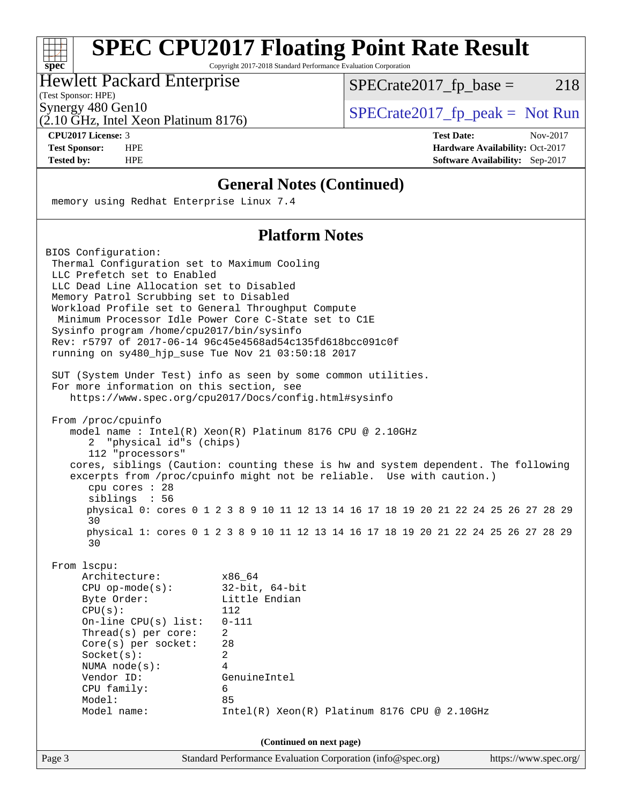## **[SPEC CPU2017 Floating Point Rate Result](http://www.spec.org/auto/cpu2017/Docs/result-fields.html#SPECCPU2017FloatingPointRateResult)**

Copyright 2017-2018 Standard Performance Evaluation Corporation

#### Hewlett Packard Enterprise

(Test Sponsor: HPE)

**[spec](http://www.spec.org/)**

 $+\ +$ 

 $SPECTate2017_fp\_base = 218$ 

(2.10 GHz, Intel Xeon Platinum 8176)

Synergy 480 Gen10<br>  $\begin{array}{c|c}\n\text{SPECTate2017\_fp\_peak} = \text{Not Run} \\
\hline\n\text{SPECTate2017\_fp\_peak} = \text{Not Run} \\
\end{array}$ 

**[CPU2017 License:](http://www.spec.org/auto/cpu2017/Docs/result-fields.html#CPU2017License)** 3 **[Test Date:](http://www.spec.org/auto/cpu2017/Docs/result-fields.html#TestDate)** Nov-2017 **[Test Sponsor:](http://www.spec.org/auto/cpu2017/Docs/result-fields.html#TestSponsor)** HPE **[Hardware Availability:](http://www.spec.org/auto/cpu2017/Docs/result-fields.html#HardwareAvailability)** Oct-2017 **[Tested by:](http://www.spec.org/auto/cpu2017/Docs/result-fields.html#Testedby)** HPE **[Software Availability:](http://www.spec.org/auto/cpu2017/Docs/result-fields.html#SoftwareAvailability)** Sep-2017

#### **[General Notes \(Continued\)](http://www.spec.org/auto/cpu2017/Docs/result-fields.html#GeneralNotes)**

memory using Redhat Enterprise Linux 7.4

#### **[Platform Notes](http://www.spec.org/auto/cpu2017/Docs/result-fields.html#PlatformNotes)**

| BIOS Configuration:                                                                 |                                                                                                                  |  |
|-------------------------------------------------------------------------------------|------------------------------------------------------------------------------------------------------------------|--|
| Thermal Configuration set to Maximum Cooling                                        |                                                                                                                  |  |
| LLC Prefetch set to Enabled                                                         |                                                                                                                  |  |
| LLC Dead Line Allocation set to Disabled<br>Memory Patrol Scrubbing set to Disabled |                                                                                                                  |  |
| Workload Profile set to General Throughput Compute                                  |                                                                                                                  |  |
|                                                                                     | Minimum Processor Idle Power Core C-State set to C1E                                                             |  |
| Sysinfo program /home/cpu2017/bin/sysinfo                                           |                                                                                                                  |  |
|                                                                                     | Rev: r5797 of 2017-06-14 96c45e4568ad54c135fd618bcc091c0f                                                        |  |
| running on sy480_hjp_suse Tue Nov 21 03:50:18 2017                                  |                                                                                                                  |  |
|                                                                                     |                                                                                                                  |  |
|                                                                                     | SUT (System Under Test) info as seen by some common utilities.                                                   |  |
| For more information on this section, see                                           |                                                                                                                  |  |
|                                                                                     | https://www.spec.org/cpu2017/Docs/config.html#sysinfo                                                            |  |
| From /proc/cpuinfo                                                                  |                                                                                                                  |  |
|                                                                                     | model name : Intel(R) Xeon(R) Platinum 8176 CPU @ 2.10GHz                                                        |  |
| "physical id"s (chips)<br>2                                                         |                                                                                                                  |  |
| 112 "processors"                                                                    |                                                                                                                  |  |
|                                                                                     | cores, siblings (Caution: counting these is hw and system dependent. The following                               |  |
|                                                                                     | excerpts from /proc/cpuinfo might not be reliable. Use with caution.)                                            |  |
| $cpu$ cores : 28                                                                    |                                                                                                                  |  |
| siblings : 56                                                                       |                                                                                                                  |  |
| 30                                                                                  | physical 0: cores 0 1 2 3 8 9 10 11 12 13 14 16 17 18 19 20 21 22 24 25 26 27 28 29                              |  |
| 30                                                                                  | physical 1: cores 0 1 2 3 8 9 10 11 12 13 14 16 17 18 19 20 21 22 24 25 26 27 28 29                              |  |
| From 1scpu:                                                                         |                                                                                                                  |  |
| Architecture:                                                                       | x86 64                                                                                                           |  |
| $CPU$ op-mode(s):                                                                   | $32$ -bit, $64$ -bit                                                                                             |  |
| Byte Order:                                                                         | Little Endian                                                                                                    |  |
| CPU(s):                                                                             | 112                                                                                                              |  |
| On-line CPU(s) list:                                                                | $0 - 111$                                                                                                        |  |
| Thread(s) per core:                                                                 | $\overline{a}$                                                                                                   |  |
| $Core(s)$ per socket:                                                               | 28                                                                                                               |  |
| Socket(s):                                                                          | $\overline{2}$                                                                                                   |  |
| NUMA $node(s):$                                                                     | $\overline{4}$                                                                                                   |  |
| Vendor ID:                                                                          | GenuineIntel                                                                                                     |  |
| CPU family:                                                                         | 6                                                                                                                |  |
| Model:                                                                              | 85                                                                                                               |  |
| Model name:                                                                         | Intel(R) Xeon(R) Platinum 8176 CPU @ 2.10GHz                                                                     |  |
|                                                                                     |                                                                                                                  |  |
| Page 3                                                                              | (Continued on next page)<br>Standard Performance Evaluation Corporation (info@spec.org)<br>https://www.spec.org/ |  |
|                                                                                     |                                                                                                                  |  |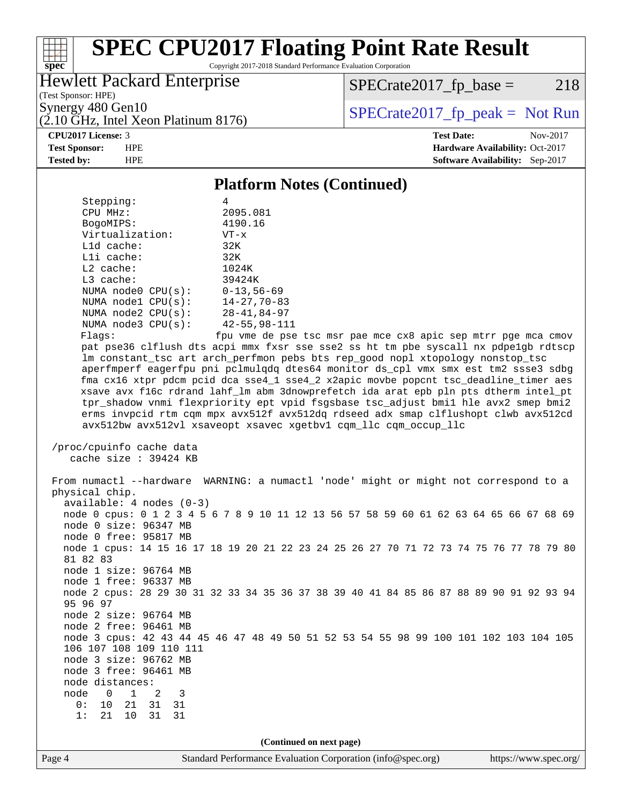#### $\pm\pm\tau$ **[spec](http://www.spec.org/)**

## **[SPEC CPU2017 Floating Point Rate Result](http://www.spec.org/auto/cpu2017/Docs/result-fields.html#SPECCPU2017FloatingPointRateResult)**

Copyright 2017-2018 Standard Performance Evaluation Corporation

#### Hewlett Packard Enterprise

(2.10 GHz, Intel Xeon Platinum 8176)

 $SPECTate2017<sub>fr</sub> base = 218$ 

(Test Sponsor: HPE)

Synergy 480 Gen10<br>  $SPECrate2017$  fp\_peak = Not Run

**[CPU2017 License:](http://www.spec.org/auto/cpu2017/Docs/result-fields.html#CPU2017License)** 3 **[Test Date:](http://www.spec.org/auto/cpu2017/Docs/result-fields.html#TestDate)** Nov-2017 **[Test Sponsor:](http://www.spec.org/auto/cpu2017/Docs/result-fields.html#TestSponsor)** HPE **[Hardware Availability:](http://www.spec.org/auto/cpu2017/Docs/result-fields.html#HardwareAvailability)** Oct-2017 **[Tested by:](http://www.spec.org/auto/cpu2017/Docs/result-fields.html#Testedby)** HPE **[Software Availability:](http://www.spec.org/auto/cpu2017/Docs/result-fields.html#SoftwareAvailability)** Sep-2017

#### **[Platform Notes \(Continued\)](http://www.spec.org/auto/cpu2017/Docs/result-fields.html#PlatformNotes)**

| Stepping:               | 4                   |
|-------------------------|---------------------|
| CPU MHz:                | 2095.081            |
| BogoMIPS:               | 4190.16             |
| Virtualization:         | $VT - x$            |
| $L1d$ cache:            | 32K                 |
| Lli cache:              | 32K                 |
| $L2$ cache:             | 1024K               |
| $L3$ cache:             | 39424K              |
| NUMA $node0$ $CPU(s)$ : | $0 - 13, 56 - 69$   |
| NUMA $node1$ $CPU(s)$ : | $14 - 27, 70 - 83$  |
| NUMA $node2$ $CPU(s):$  | $28 - 41, 84 - 97$  |
| NUMA $node3$ $CPU(s)$ : | $42 - 55, 98 - 111$ |
| Flanc:                  | fnu wma da nee      |

 Flags: fpu vme de pse tsc msr pae mce cx8 apic sep mtrr pge mca cmov pat pse36 clflush dts acpi mmx fxsr sse sse2 ss ht tm pbe syscall nx pdpe1gb rdtscp lm constant\_tsc art arch\_perfmon pebs bts rep\_good nopl xtopology nonstop\_tsc aperfmperf eagerfpu pni pclmulqdq dtes64 monitor ds\_cpl vmx smx est tm2 ssse3 sdbg fma cx16 xtpr pdcm pcid dca sse4\_1 sse4\_2 x2apic movbe popcnt tsc\_deadline\_timer aes xsave avx f16c rdrand lahf\_lm abm 3dnowprefetch ida arat epb pln pts dtherm intel\_pt tpr\_shadow vnmi flexpriority ept vpid fsgsbase tsc\_adjust bmi1 hle avx2 smep bmi2 erms invpcid rtm cqm mpx avx512f avx512dq rdseed adx smap clflushopt clwb avx512cd avx512bw avx512vl xsaveopt xsavec xgetbv1 cqm\_llc cqm\_occup\_llc

 /proc/cpuinfo cache data cache size : 39424 KB

 From numactl --hardware WARNING: a numactl 'node' might or might not correspond to a physical chip. available: 4 nodes (0-3) node 0 cpus: 0 1 2 3 4 5 6 7 8 9 10 11 12 13 56 57 58 59 60 61 62 63 64 65 66 67 68 69 node 0 size: 96347 MB node 0 free: 95817 MB node 1 cpus: 14 15 16 17 18 19 20 21 22 23 24 25 26 27 70 71 72 73 74 75 76 77 78 79 80 81 82 83 node 1 size: 96764 MB node 1 free: 96337 MB node 2 cpus: 28 29 30 31 32 33 34 35 36 37 38 39 40 41 84 85 86 87 88 89 90 91 92 93 94 95 96 97 node 2 size: 96764 MB node 2 free: 96461 MB node 3 cpus: 42 43 44 45 46 47 48 49 50 51 52 53 54 55 98 99 100 101 102 103 104 105 106 107 108 109 110 111 node 3 size: 96762 MB node 3 free: 96461 MB node distances: node 0 1 2 3 0: 10 21 31 31 1: 21 10 31 31 **(Continued on next page)**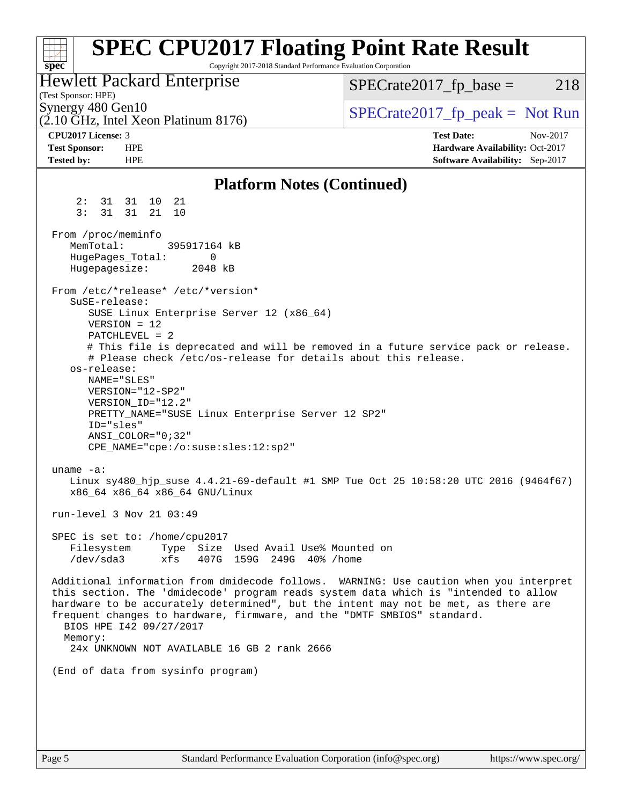| <b>SPEC CPU2017 Floating Point Rate Result</b><br>Copyright 2017-2018 Standard Performance Evaluation Corporation<br>$spec^*$                                                                                                                                                                                                                                                        |                                                                  |
|--------------------------------------------------------------------------------------------------------------------------------------------------------------------------------------------------------------------------------------------------------------------------------------------------------------------------------------------------------------------------------------|------------------------------------------------------------------|
| <b>Hewlett Packard Enterprise</b><br>(Test Sponsor: HPE)                                                                                                                                                                                                                                                                                                                             | 218<br>$SPECrate2017_fp\_base =$                                 |
| Synergy 480 Gen10<br>(2.10 GHz, Intel Xeon Platinum 8176)                                                                                                                                                                                                                                                                                                                            | $SPECrate2017_fp\_peak = Not Run$                                |
| CPU2017 License: 3<br><b>Test Sponsor:</b><br><b>HPE</b>                                                                                                                                                                                                                                                                                                                             | <b>Test Date:</b><br>Nov-2017<br>Hardware Availability: Oct-2017 |
| <b>Tested by:</b><br><b>HPE</b>                                                                                                                                                                                                                                                                                                                                                      | Software Availability: Sep-2017                                  |
| <b>Platform Notes (Continued)</b>                                                                                                                                                                                                                                                                                                                                                    |                                                                  |
| 2:<br>31 31 10<br>21<br>3:<br>31 21<br>31<br>10                                                                                                                                                                                                                                                                                                                                      |                                                                  |
| From /proc/meminfo<br>MemTotal:<br>395917164 kB                                                                                                                                                                                                                                                                                                                                      |                                                                  |
| HugePages_Total:<br>0<br>Hugepagesize:<br>2048 kB                                                                                                                                                                                                                                                                                                                                    |                                                                  |
| From /etc/*release* /etc/*version*<br>SuSE-release:                                                                                                                                                                                                                                                                                                                                  |                                                                  |
| SUSE Linux Enterprise Server 12 (x86_64)<br>$VERSION = 12$                                                                                                                                                                                                                                                                                                                           |                                                                  |
| $PATCHLEVEL = 2$                                                                                                                                                                                                                                                                                                                                                                     |                                                                  |
| # This file is deprecated and will be removed in a future service pack or release.<br># Please check /etc/os-release for details about this release.                                                                                                                                                                                                                                 |                                                                  |
| os-release:                                                                                                                                                                                                                                                                                                                                                                          |                                                                  |
| NAME="SLES"<br>VERSION="12-SP2"                                                                                                                                                                                                                                                                                                                                                      |                                                                  |
| VERSION_ID="12.2"                                                                                                                                                                                                                                                                                                                                                                    |                                                                  |
| PRETTY_NAME="SUSE Linux Enterprise Server 12 SP2"<br>ID="sles"                                                                                                                                                                                                                                                                                                                       |                                                                  |
| ANSI COLOR="0;32"                                                                                                                                                                                                                                                                                                                                                                    |                                                                  |
| CPE_NAME="cpe:/o:suse:sles:12:sp2"                                                                                                                                                                                                                                                                                                                                                   |                                                                  |
| uname $-a$ :                                                                                                                                                                                                                                                                                                                                                                         |                                                                  |
| Linux sy480_hjp_suse 4.4.21-69-default #1 SMP Tue Oct 25 10:58:20 UTC 2016 (9464f67)<br>x86_64 x86_64 x86_64 GNU/Linux                                                                                                                                                                                                                                                               |                                                                  |
| run-level 3 Nov 21 03:49                                                                                                                                                                                                                                                                                                                                                             |                                                                  |
| SPEC is set to: /home/cpu2017                                                                                                                                                                                                                                                                                                                                                        |                                                                  |
| Filesystem<br>Type Size Used Avail Use% Mounted on<br>/dev/sda3<br>xfs<br>407G 159G 249G 40% / home                                                                                                                                                                                                                                                                                  |                                                                  |
| Additional information from dmidecode follows. WARNING: Use caution when you interpret<br>this section. The 'dmidecode' program reads system data which is "intended to allow<br>hardware to be accurately determined", but the intent may not be met, as there are<br>frequent changes to hardware, firmware, and the "DMTF SMBIOS" standard.<br>BIOS HPE 142 09/27/2017<br>Memory: |                                                                  |
| 24x UNKNOWN NOT AVAILABLE 16 GB 2 rank 2666                                                                                                                                                                                                                                                                                                                                          |                                                                  |
| (End of data from sysinfo program)                                                                                                                                                                                                                                                                                                                                                   |                                                                  |
|                                                                                                                                                                                                                                                                                                                                                                                      |                                                                  |
|                                                                                                                                                                                                                                                                                                                                                                                      |                                                                  |
|                                                                                                                                                                                                                                                                                                                                                                                      |                                                                  |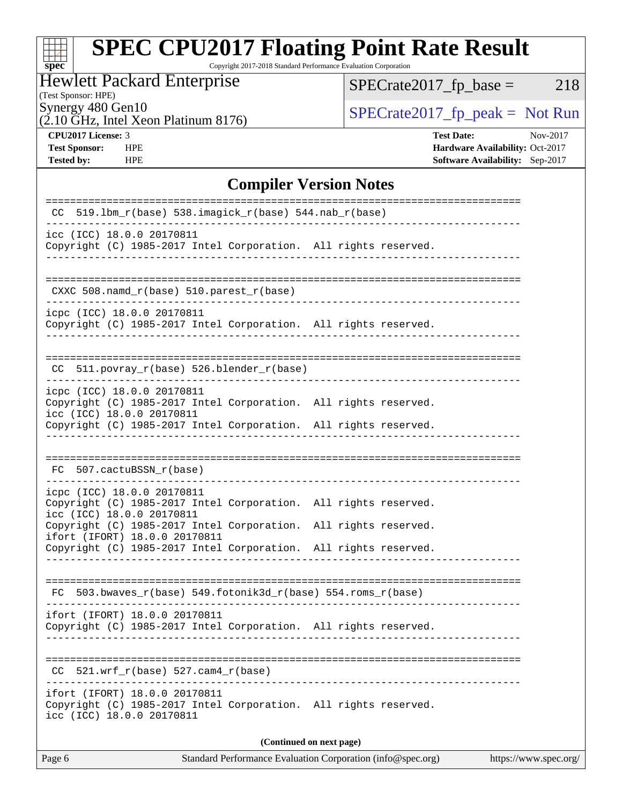# **[spec](http://www.spec.org/)**

## **[SPEC CPU2017 Floating Point Rate Result](http://www.spec.org/auto/cpu2017/Docs/result-fields.html#SPECCPU2017FloatingPointRateResult)**

Copyright 2017-2018 Standard Performance Evaluation Corporation

#### Hewlett Packard Enterprise

(2.10 GHz, Intel Xeon Platinum 8176)

 $SPECTate2017_fp\_base = 218$ 

(Test Sponsor: HPE)

Synergy 480 Gen10<br>  $\begin{array}{c|c}\n\text{SPECTate2017\_fp\_peak} = \text{Not Run} \\
\hline\n\text{SPECTate2017\_fp\_peak} = \text{Not Run} \\
\end{array}$ 

**[CPU2017 License:](http://www.spec.org/auto/cpu2017/Docs/result-fields.html#CPU2017License)** 3 **[Test Date:](http://www.spec.org/auto/cpu2017/Docs/result-fields.html#TestDate)** Nov-2017 **[Test Sponsor:](http://www.spec.org/auto/cpu2017/Docs/result-fields.html#TestSponsor)** HPE **[Hardware Availability:](http://www.spec.org/auto/cpu2017/Docs/result-fields.html#HardwareAvailability)** Oct-2017 **[Tested by:](http://www.spec.org/auto/cpu2017/Docs/result-fields.html#Testedby)** HPE **[Software Availability:](http://www.spec.org/auto/cpu2017/Docs/result-fields.html#SoftwareAvailability)** Sep-2017

#### **[Compiler Version Notes](http://www.spec.org/auto/cpu2017/Docs/result-fields.html#CompilerVersionNotes)**

| 519.1bm_r(base) 538.imagick_r(base) 544.nab_r(base)<br>CC                                                                                                           |  |  |  |  |  |  |  |
|---------------------------------------------------------------------------------------------------------------------------------------------------------------------|--|--|--|--|--|--|--|
| icc (ICC) 18.0.0 20170811<br>Copyright (C) 1985-2017 Intel Corporation. All rights reserved.                                                                        |  |  |  |  |  |  |  |
| $CXXC 508.namd_r(base) 510.parest_r(base)$                                                                                                                          |  |  |  |  |  |  |  |
| icpc (ICC) 18.0.0 20170811<br>Copyright (C) 1985-2017 Intel Corporation. All rights reserved.                                                                       |  |  |  |  |  |  |  |
| $CC$ 511.povray_r(base) 526.blender_r(base)                                                                                                                         |  |  |  |  |  |  |  |
| icpc (ICC) 18.0.0 20170811<br>Copyright (C) 1985-2017 Intel Corporation. All rights reserved.<br>icc (ICC) 18.0.0 20170811                                          |  |  |  |  |  |  |  |
| Copyright (C) 1985-2017 Intel Corporation. All rights reserved.                                                                                                     |  |  |  |  |  |  |  |
| 507.cactuBSSN_r(base)<br>FC.                                                                                                                                        |  |  |  |  |  |  |  |
| icpc (ICC) 18.0.0 20170811<br>Copyright (C) 1985-2017 Intel Corporation. All rights reserved.<br>icc (ICC) 18.0.0 20170811                                          |  |  |  |  |  |  |  |
| Copyright (C) 1985-2017 Intel Corporation. All rights reserved.<br>ifort (IFORT) 18.0.0 20170811<br>Copyright (C) 1985-2017 Intel Corporation. All rights reserved. |  |  |  |  |  |  |  |
|                                                                                                                                                                     |  |  |  |  |  |  |  |
| ==============================<br>$FC 503.bwaves_r(base) 549.fotonik3d_r(base) 554.roms_r(base)$                                                                    |  |  |  |  |  |  |  |
| ifort (IFORT) 18.0.0 20170811<br>Copyright (C) 1985-2017 Intel Corporation. All rights reserved.                                                                    |  |  |  |  |  |  |  |
| 521.wrf $r(base)$ 527.cam4 $r(base)$<br>CC                                                                                                                          |  |  |  |  |  |  |  |
| ifort (IFORT) 18.0.0 20170811<br>Copyright (C) 1985-2017 Intel Corporation. All rights reserved.<br>icc (ICC) 18.0.0 20170811                                       |  |  |  |  |  |  |  |
| (Continued on next page)                                                                                                                                            |  |  |  |  |  |  |  |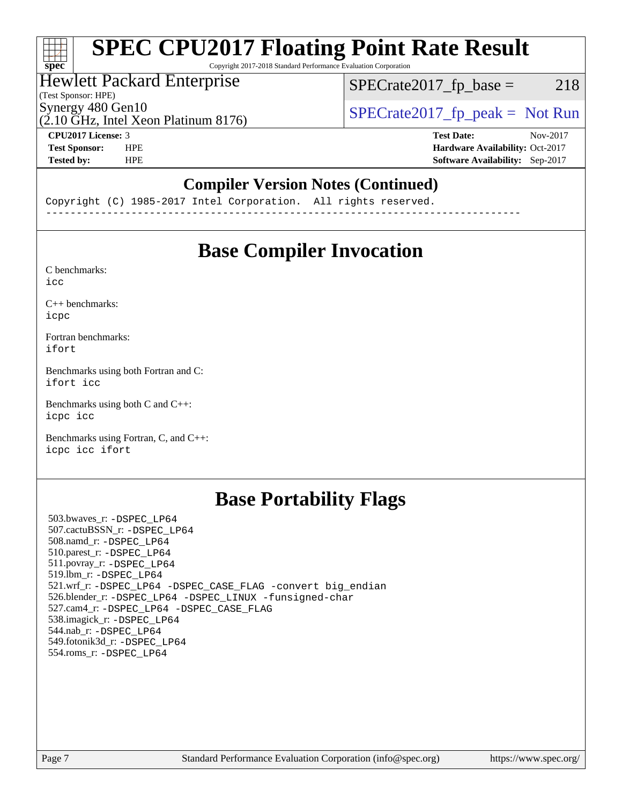## **[SPEC CPU2017 Floating Point Rate Result](http://www.spec.org/auto/cpu2017/Docs/result-fields.html#SPECCPU2017FloatingPointRateResult)**

Copyright 2017-2018 Standard Performance Evaluation Corporation

#### Hewlett Packard Enterprise

(Test Sponsor: HPE)

 $SPECTate2017<sub>fr</sub> base = 218$ 

(2.10 GHz, Intel Xeon Platinum 8176)

Synergy 480 Gen10<br>  $SPECrate2017$  fp\_peak = Not Run

**[spec](http://www.spec.org/)**

 $\pm\pm\tau$ 

**[CPU2017 License:](http://www.spec.org/auto/cpu2017/Docs/result-fields.html#CPU2017License)** 3 **[Test Date:](http://www.spec.org/auto/cpu2017/Docs/result-fields.html#TestDate)** Nov-2017 **[Test Sponsor:](http://www.spec.org/auto/cpu2017/Docs/result-fields.html#TestSponsor)** HPE **[Hardware Availability:](http://www.spec.org/auto/cpu2017/Docs/result-fields.html#HardwareAvailability)** Oct-2017 **[Tested by:](http://www.spec.org/auto/cpu2017/Docs/result-fields.html#Testedby)** HPE **[Software Availability:](http://www.spec.org/auto/cpu2017/Docs/result-fields.html#SoftwareAvailability)** Sep-2017

#### **[Compiler Version Notes \(Continued\)](http://www.spec.org/auto/cpu2017/Docs/result-fields.html#CompilerVersionNotes)**

Copyright (C) 1985-2017 Intel Corporation. All rights reserved. ------------------------------------------------------------------------------

## **[Base Compiler Invocation](http://www.spec.org/auto/cpu2017/Docs/result-fields.html#BaseCompilerInvocation)**

[C benchmarks](http://www.spec.org/auto/cpu2017/Docs/result-fields.html#Cbenchmarks): [icc](http://www.spec.org/cpu2017/results/res2017q4/cpu2017-20171128-01295.flags.html#user_CCbase_intel_icc_18.0_66fc1ee009f7361af1fbd72ca7dcefbb700085f36577c54f309893dd4ec40d12360134090235512931783d35fd58c0460139e722d5067c5574d8eaf2b3e37e92)

[C++ benchmarks:](http://www.spec.org/auto/cpu2017/Docs/result-fields.html#CXXbenchmarks) [icpc](http://www.spec.org/cpu2017/results/res2017q4/cpu2017-20171128-01295.flags.html#user_CXXbase_intel_icpc_18.0_c510b6838c7f56d33e37e94d029a35b4a7bccf4766a728ee175e80a419847e808290a9b78be685c44ab727ea267ec2f070ec5dc83b407c0218cded6866a35d07)

[Fortran benchmarks](http://www.spec.org/auto/cpu2017/Docs/result-fields.html#Fortranbenchmarks): [ifort](http://www.spec.org/cpu2017/results/res2017q4/cpu2017-20171128-01295.flags.html#user_FCbase_intel_ifort_18.0_8111460550e3ca792625aed983ce982f94888b8b503583aa7ba2b8303487b4d8a21a13e7191a45c5fd58ff318f48f9492884d4413fa793fd88dd292cad7027ca)

[Benchmarks using both Fortran and C](http://www.spec.org/auto/cpu2017/Docs/result-fields.html#BenchmarksusingbothFortranandC): [ifort](http://www.spec.org/cpu2017/results/res2017q4/cpu2017-20171128-01295.flags.html#user_CC_FCbase_intel_ifort_18.0_8111460550e3ca792625aed983ce982f94888b8b503583aa7ba2b8303487b4d8a21a13e7191a45c5fd58ff318f48f9492884d4413fa793fd88dd292cad7027ca) [icc](http://www.spec.org/cpu2017/results/res2017q4/cpu2017-20171128-01295.flags.html#user_CC_FCbase_intel_icc_18.0_66fc1ee009f7361af1fbd72ca7dcefbb700085f36577c54f309893dd4ec40d12360134090235512931783d35fd58c0460139e722d5067c5574d8eaf2b3e37e92)

[Benchmarks using both C and C++](http://www.spec.org/auto/cpu2017/Docs/result-fields.html#BenchmarksusingbothCandCXX): [icpc](http://www.spec.org/cpu2017/results/res2017q4/cpu2017-20171128-01295.flags.html#user_CC_CXXbase_intel_icpc_18.0_c510b6838c7f56d33e37e94d029a35b4a7bccf4766a728ee175e80a419847e808290a9b78be685c44ab727ea267ec2f070ec5dc83b407c0218cded6866a35d07) [icc](http://www.spec.org/cpu2017/results/res2017q4/cpu2017-20171128-01295.flags.html#user_CC_CXXbase_intel_icc_18.0_66fc1ee009f7361af1fbd72ca7dcefbb700085f36577c54f309893dd4ec40d12360134090235512931783d35fd58c0460139e722d5067c5574d8eaf2b3e37e92)

[Benchmarks using Fortran, C, and C++:](http://www.spec.org/auto/cpu2017/Docs/result-fields.html#BenchmarksusingFortranCandCXX) [icpc](http://www.spec.org/cpu2017/results/res2017q4/cpu2017-20171128-01295.flags.html#user_CC_CXX_FCbase_intel_icpc_18.0_c510b6838c7f56d33e37e94d029a35b4a7bccf4766a728ee175e80a419847e808290a9b78be685c44ab727ea267ec2f070ec5dc83b407c0218cded6866a35d07) [icc](http://www.spec.org/cpu2017/results/res2017q4/cpu2017-20171128-01295.flags.html#user_CC_CXX_FCbase_intel_icc_18.0_66fc1ee009f7361af1fbd72ca7dcefbb700085f36577c54f309893dd4ec40d12360134090235512931783d35fd58c0460139e722d5067c5574d8eaf2b3e37e92) [ifort](http://www.spec.org/cpu2017/results/res2017q4/cpu2017-20171128-01295.flags.html#user_CC_CXX_FCbase_intel_ifort_18.0_8111460550e3ca792625aed983ce982f94888b8b503583aa7ba2b8303487b4d8a21a13e7191a45c5fd58ff318f48f9492884d4413fa793fd88dd292cad7027ca)

## **[Base Portability Flags](http://www.spec.org/auto/cpu2017/Docs/result-fields.html#BasePortabilityFlags)**

 503.bwaves\_r: [-DSPEC\\_LP64](http://www.spec.org/cpu2017/results/res2017q4/cpu2017-20171128-01295.flags.html#suite_basePORTABILITY503_bwaves_r_DSPEC_LP64) 507.cactuBSSN\_r: [-DSPEC\\_LP64](http://www.spec.org/cpu2017/results/res2017q4/cpu2017-20171128-01295.flags.html#suite_basePORTABILITY507_cactuBSSN_r_DSPEC_LP64) 508.namd\_r: [-DSPEC\\_LP64](http://www.spec.org/cpu2017/results/res2017q4/cpu2017-20171128-01295.flags.html#suite_basePORTABILITY508_namd_r_DSPEC_LP64) 510.parest\_r: [-DSPEC\\_LP64](http://www.spec.org/cpu2017/results/res2017q4/cpu2017-20171128-01295.flags.html#suite_basePORTABILITY510_parest_r_DSPEC_LP64) 511.povray\_r: [-DSPEC\\_LP64](http://www.spec.org/cpu2017/results/res2017q4/cpu2017-20171128-01295.flags.html#suite_basePORTABILITY511_povray_r_DSPEC_LP64) 519.lbm\_r: [-DSPEC\\_LP64](http://www.spec.org/cpu2017/results/res2017q4/cpu2017-20171128-01295.flags.html#suite_basePORTABILITY519_lbm_r_DSPEC_LP64) 521.wrf\_r: [-DSPEC\\_LP64](http://www.spec.org/cpu2017/results/res2017q4/cpu2017-20171128-01295.flags.html#suite_basePORTABILITY521_wrf_r_DSPEC_LP64) [-DSPEC\\_CASE\\_FLAG](http://www.spec.org/cpu2017/results/res2017q4/cpu2017-20171128-01295.flags.html#b521.wrf_r_baseCPORTABILITY_DSPEC_CASE_FLAG) [-convert big\\_endian](http://www.spec.org/cpu2017/results/res2017q4/cpu2017-20171128-01295.flags.html#user_baseFPORTABILITY521_wrf_r_convert_big_endian_c3194028bc08c63ac5d04de18c48ce6d347e4e562e8892b8bdbdc0214820426deb8554edfa529a3fb25a586e65a3d812c835984020483e7e73212c4d31a38223) 526.blender\_r: [-DSPEC\\_LP64](http://www.spec.org/cpu2017/results/res2017q4/cpu2017-20171128-01295.flags.html#suite_basePORTABILITY526_blender_r_DSPEC_LP64) [-DSPEC\\_LINUX](http://www.spec.org/cpu2017/results/res2017q4/cpu2017-20171128-01295.flags.html#b526.blender_r_baseCPORTABILITY_DSPEC_LINUX) [-funsigned-char](http://www.spec.org/cpu2017/results/res2017q4/cpu2017-20171128-01295.flags.html#user_baseCPORTABILITY526_blender_r_force_uchar_40c60f00ab013830e2dd6774aeded3ff59883ba5a1fc5fc14077f794d777847726e2a5858cbc7672e36e1b067e7e5c1d9a74f7176df07886a243d7cc18edfe67) 527.cam4\_r: [-DSPEC\\_LP64](http://www.spec.org/cpu2017/results/res2017q4/cpu2017-20171128-01295.flags.html#suite_basePORTABILITY527_cam4_r_DSPEC_LP64) [-DSPEC\\_CASE\\_FLAG](http://www.spec.org/cpu2017/results/res2017q4/cpu2017-20171128-01295.flags.html#b527.cam4_r_baseCPORTABILITY_DSPEC_CASE_FLAG) 538.imagick\_r: [-DSPEC\\_LP64](http://www.spec.org/cpu2017/results/res2017q4/cpu2017-20171128-01295.flags.html#suite_basePORTABILITY538_imagick_r_DSPEC_LP64) 544.nab\_r: [-DSPEC\\_LP64](http://www.spec.org/cpu2017/results/res2017q4/cpu2017-20171128-01295.flags.html#suite_basePORTABILITY544_nab_r_DSPEC_LP64) 549.fotonik3d\_r: [-DSPEC\\_LP64](http://www.spec.org/cpu2017/results/res2017q4/cpu2017-20171128-01295.flags.html#suite_basePORTABILITY549_fotonik3d_r_DSPEC_LP64) 554.roms\_r: [-DSPEC\\_LP64](http://www.spec.org/cpu2017/results/res2017q4/cpu2017-20171128-01295.flags.html#suite_basePORTABILITY554_roms_r_DSPEC_LP64)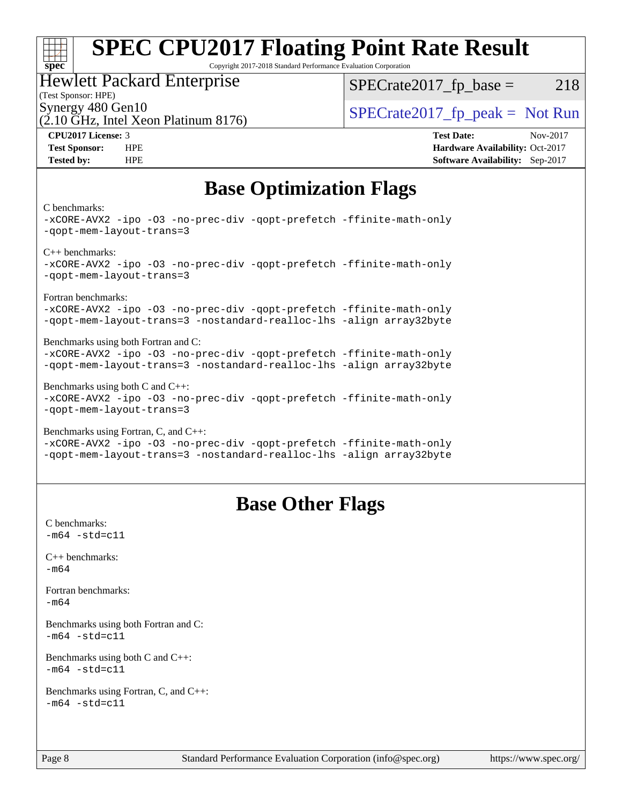## **[SPEC CPU2017 Floating Point Rate Result](http://www.spec.org/auto/cpu2017/Docs/result-fields.html#SPECCPU2017FloatingPointRateResult)**

Copyright 2017-2018 Standard Performance Evaluation Corporation

#### Hewlett Packard Enterprise

(Test Sponsor: HPE)

 $SPECTate2017<sub>fr</sub> base = 218$ 

(2.10 GHz, Intel Xeon Platinum 8176)

Synergy 480 Gen10  $SPECrate2017$  fp\_peak = Not Run

**[CPU2017 License:](http://www.spec.org/auto/cpu2017/Docs/result-fields.html#CPU2017License)** 3 **[Test Date:](http://www.spec.org/auto/cpu2017/Docs/result-fields.html#TestDate)** Nov-2017 **[Test Sponsor:](http://www.spec.org/auto/cpu2017/Docs/result-fields.html#TestSponsor)** HPE **[Hardware Availability:](http://www.spec.org/auto/cpu2017/Docs/result-fields.html#HardwareAvailability)** Oct-2017 **[Tested by:](http://www.spec.org/auto/cpu2017/Docs/result-fields.html#Testedby)** HPE **[Software Availability:](http://www.spec.org/auto/cpu2017/Docs/result-fields.html#SoftwareAvailability)** Sep-2017

## **[Base Optimization Flags](http://www.spec.org/auto/cpu2017/Docs/result-fields.html#BaseOptimizationFlags)**

[C benchmarks](http://www.spec.org/auto/cpu2017/Docs/result-fields.html#Cbenchmarks):

**[spec](http://www.spec.org/)**

 $\pm\pm\tau$ 

[-xCORE-AVX2](http://www.spec.org/cpu2017/results/res2017q4/cpu2017-20171128-01295.flags.html#user_CCbase_f-xCORE-AVX2) [-ipo](http://www.spec.org/cpu2017/results/res2017q4/cpu2017-20171128-01295.flags.html#user_CCbase_f-ipo) [-O3](http://www.spec.org/cpu2017/results/res2017q4/cpu2017-20171128-01295.flags.html#user_CCbase_f-O3) [-no-prec-div](http://www.spec.org/cpu2017/results/res2017q4/cpu2017-20171128-01295.flags.html#user_CCbase_f-no-prec-div) [-qopt-prefetch](http://www.spec.org/cpu2017/results/res2017q4/cpu2017-20171128-01295.flags.html#user_CCbase_f-qopt-prefetch) [-ffinite-math-only](http://www.spec.org/cpu2017/results/res2017q4/cpu2017-20171128-01295.flags.html#user_CCbase_f_finite_math_only_cb91587bd2077682c4b38af759c288ed7c732db004271a9512da14a4f8007909a5f1427ecbf1a0fb78ff2a814402c6114ac565ca162485bbcae155b5e4258871) [-qopt-mem-layout-trans=3](http://www.spec.org/cpu2017/results/res2017q4/cpu2017-20171128-01295.flags.html#user_CCbase_f-qopt-mem-layout-trans_de80db37974c74b1f0e20d883f0b675c88c3b01e9d123adea9b28688d64333345fb62bc4a798493513fdb68f60282f9a726aa07f478b2f7113531aecce732043) [C++ benchmarks](http://www.spec.org/auto/cpu2017/Docs/result-fields.html#CXXbenchmarks): [-xCORE-AVX2](http://www.spec.org/cpu2017/results/res2017q4/cpu2017-20171128-01295.flags.html#user_CXXbase_f-xCORE-AVX2) [-ipo](http://www.spec.org/cpu2017/results/res2017q4/cpu2017-20171128-01295.flags.html#user_CXXbase_f-ipo) [-O3](http://www.spec.org/cpu2017/results/res2017q4/cpu2017-20171128-01295.flags.html#user_CXXbase_f-O3) [-no-prec-div](http://www.spec.org/cpu2017/results/res2017q4/cpu2017-20171128-01295.flags.html#user_CXXbase_f-no-prec-div) [-qopt-prefetch](http://www.spec.org/cpu2017/results/res2017q4/cpu2017-20171128-01295.flags.html#user_CXXbase_f-qopt-prefetch) [-ffinite-math-only](http://www.spec.org/cpu2017/results/res2017q4/cpu2017-20171128-01295.flags.html#user_CXXbase_f_finite_math_only_cb91587bd2077682c4b38af759c288ed7c732db004271a9512da14a4f8007909a5f1427ecbf1a0fb78ff2a814402c6114ac565ca162485bbcae155b5e4258871) [-qopt-mem-layout-trans=3](http://www.spec.org/cpu2017/results/res2017q4/cpu2017-20171128-01295.flags.html#user_CXXbase_f-qopt-mem-layout-trans_de80db37974c74b1f0e20d883f0b675c88c3b01e9d123adea9b28688d64333345fb62bc4a798493513fdb68f60282f9a726aa07f478b2f7113531aecce732043) [Fortran benchmarks:](http://www.spec.org/auto/cpu2017/Docs/result-fields.html#Fortranbenchmarks) [-xCORE-AVX2](http://www.spec.org/cpu2017/results/res2017q4/cpu2017-20171128-01295.flags.html#user_FCbase_f-xCORE-AVX2) [-ipo](http://www.spec.org/cpu2017/results/res2017q4/cpu2017-20171128-01295.flags.html#user_FCbase_f-ipo) [-O3](http://www.spec.org/cpu2017/results/res2017q4/cpu2017-20171128-01295.flags.html#user_FCbase_f-O3) [-no-prec-div](http://www.spec.org/cpu2017/results/res2017q4/cpu2017-20171128-01295.flags.html#user_FCbase_f-no-prec-div) [-qopt-prefetch](http://www.spec.org/cpu2017/results/res2017q4/cpu2017-20171128-01295.flags.html#user_FCbase_f-qopt-prefetch) [-ffinite-math-only](http://www.spec.org/cpu2017/results/res2017q4/cpu2017-20171128-01295.flags.html#user_FCbase_f_finite_math_only_cb91587bd2077682c4b38af759c288ed7c732db004271a9512da14a4f8007909a5f1427ecbf1a0fb78ff2a814402c6114ac565ca162485bbcae155b5e4258871) [-qopt-mem-layout-trans=3](http://www.spec.org/cpu2017/results/res2017q4/cpu2017-20171128-01295.flags.html#user_FCbase_f-qopt-mem-layout-trans_de80db37974c74b1f0e20d883f0b675c88c3b01e9d123adea9b28688d64333345fb62bc4a798493513fdb68f60282f9a726aa07f478b2f7113531aecce732043) [-nostandard-realloc-lhs](http://www.spec.org/cpu2017/results/res2017q4/cpu2017-20171128-01295.flags.html#user_FCbase_f_2003_std_realloc_82b4557e90729c0f113870c07e44d33d6f5a304b4f63d4c15d2d0f1fab99f5daaed73bdb9275d9ae411527f28b936061aa8b9c8f2d63842963b95c9dd6426b8a) [-align array32byte](http://www.spec.org/cpu2017/results/res2017q4/cpu2017-20171128-01295.flags.html#user_FCbase_align_array32byte_b982fe038af199962ba9a80c053b8342c548c85b40b8e86eb3cc33dee0d7986a4af373ac2d51c3f7cf710a18d62fdce2948f201cd044323541f22fc0fffc51b6) [Benchmarks using both Fortran and C](http://www.spec.org/auto/cpu2017/Docs/result-fields.html#BenchmarksusingbothFortranandC): [-xCORE-AVX2](http://www.spec.org/cpu2017/results/res2017q4/cpu2017-20171128-01295.flags.html#user_CC_FCbase_f-xCORE-AVX2) [-ipo](http://www.spec.org/cpu2017/results/res2017q4/cpu2017-20171128-01295.flags.html#user_CC_FCbase_f-ipo) [-O3](http://www.spec.org/cpu2017/results/res2017q4/cpu2017-20171128-01295.flags.html#user_CC_FCbase_f-O3) [-no-prec-div](http://www.spec.org/cpu2017/results/res2017q4/cpu2017-20171128-01295.flags.html#user_CC_FCbase_f-no-prec-div) [-qopt-prefetch](http://www.spec.org/cpu2017/results/res2017q4/cpu2017-20171128-01295.flags.html#user_CC_FCbase_f-qopt-prefetch) [-ffinite-math-only](http://www.spec.org/cpu2017/results/res2017q4/cpu2017-20171128-01295.flags.html#user_CC_FCbase_f_finite_math_only_cb91587bd2077682c4b38af759c288ed7c732db004271a9512da14a4f8007909a5f1427ecbf1a0fb78ff2a814402c6114ac565ca162485bbcae155b5e4258871) [-qopt-mem-layout-trans=3](http://www.spec.org/cpu2017/results/res2017q4/cpu2017-20171128-01295.flags.html#user_CC_FCbase_f-qopt-mem-layout-trans_de80db37974c74b1f0e20d883f0b675c88c3b01e9d123adea9b28688d64333345fb62bc4a798493513fdb68f60282f9a726aa07f478b2f7113531aecce732043) [-nostandard-realloc-lhs](http://www.spec.org/cpu2017/results/res2017q4/cpu2017-20171128-01295.flags.html#user_CC_FCbase_f_2003_std_realloc_82b4557e90729c0f113870c07e44d33d6f5a304b4f63d4c15d2d0f1fab99f5daaed73bdb9275d9ae411527f28b936061aa8b9c8f2d63842963b95c9dd6426b8a) [-align array32byte](http://www.spec.org/cpu2017/results/res2017q4/cpu2017-20171128-01295.flags.html#user_CC_FCbase_align_array32byte_b982fe038af199962ba9a80c053b8342c548c85b40b8e86eb3cc33dee0d7986a4af373ac2d51c3f7cf710a18d62fdce2948f201cd044323541f22fc0fffc51b6) [Benchmarks using both C and C++:](http://www.spec.org/auto/cpu2017/Docs/result-fields.html#BenchmarksusingbothCandCXX) [-xCORE-AVX2](http://www.spec.org/cpu2017/results/res2017q4/cpu2017-20171128-01295.flags.html#user_CC_CXXbase_f-xCORE-AVX2) [-ipo](http://www.spec.org/cpu2017/results/res2017q4/cpu2017-20171128-01295.flags.html#user_CC_CXXbase_f-ipo) [-O3](http://www.spec.org/cpu2017/results/res2017q4/cpu2017-20171128-01295.flags.html#user_CC_CXXbase_f-O3) [-no-prec-div](http://www.spec.org/cpu2017/results/res2017q4/cpu2017-20171128-01295.flags.html#user_CC_CXXbase_f-no-prec-div) [-qopt-prefetch](http://www.spec.org/cpu2017/results/res2017q4/cpu2017-20171128-01295.flags.html#user_CC_CXXbase_f-qopt-prefetch) [-ffinite-math-only](http://www.spec.org/cpu2017/results/res2017q4/cpu2017-20171128-01295.flags.html#user_CC_CXXbase_f_finite_math_only_cb91587bd2077682c4b38af759c288ed7c732db004271a9512da14a4f8007909a5f1427ecbf1a0fb78ff2a814402c6114ac565ca162485bbcae155b5e4258871) [-qopt-mem-layout-trans=3](http://www.spec.org/cpu2017/results/res2017q4/cpu2017-20171128-01295.flags.html#user_CC_CXXbase_f-qopt-mem-layout-trans_de80db37974c74b1f0e20d883f0b675c88c3b01e9d123adea9b28688d64333345fb62bc4a798493513fdb68f60282f9a726aa07f478b2f7113531aecce732043) [Benchmarks using Fortran, C, and C++](http://www.spec.org/auto/cpu2017/Docs/result-fields.html#BenchmarksusingFortranCandCXX): [-xCORE-AVX2](http://www.spec.org/cpu2017/results/res2017q4/cpu2017-20171128-01295.flags.html#user_CC_CXX_FCbase_f-xCORE-AVX2) [-ipo](http://www.spec.org/cpu2017/results/res2017q4/cpu2017-20171128-01295.flags.html#user_CC_CXX_FCbase_f-ipo) [-O3](http://www.spec.org/cpu2017/results/res2017q4/cpu2017-20171128-01295.flags.html#user_CC_CXX_FCbase_f-O3) [-no-prec-div](http://www.spec.org/cpu2017/results/res2017q4/cpu2017-20171128-01295.flags.html#user_CC_CXX_FCbase_f-no-prec-div) [-qopt-prefetch](http://www.spec.org/cpu2017/results/res2017q4/cpu2017-20171128-01295.flags.html#user_CC_CXX_FCbase_f-qopt-prefetch) [-ffinite-math-only](http://www.spec.org/cpu2017/results/res2017q4/cpu2017-20171128-01295.flags.html#user_CC_CXX_FCbase_f_finite_math_only_cb91587bd2077682c4b38af759c288ed7c732db004271a9512da14a4f8007909a5f1427ecbf1a0fb78ff2a814402c6114ac565ca162485bbcae155b5e4258871)

[-qopt-mem-layout-trans=3](http://www.spec.org/cpu2017/results/res2017q4/cpu2017-20171128-01295.flags.html#user_CC_CXX_FCbase_f-qopt-mem-layout-trans_de80db37974c74b1f0e20d883f0b675c88c3b01e9d123adea9b28688d64333345fb62bc4a798493513fdb68f60282f9a726aa07f478b2f7113531aecce732043) [-nostandard-realloc-lhs](http://www.spec.org/cpu2017/results/res2017q4/cpu2017-20171128-01295.flags.html#user_CC_CXX_FCbase_f_2003_std_realloc_82b4557e90729c0f113870c07e44d33d6f5a304b4f63d4c15d2d0f1fab99f5daaed73bdb9275d9ae411527f28b936061aa8b9c8f2d63842963b95c9dd6426b8a) [-align array32byte](http://www.spec.org/cpu2017/results/res2017q4/cpu2017-20171128-01295.flags.html#user_CC_CXX_FCbase_align_array32byte_b982fe038af199962ba9a80c053b8342c548c85b40b8e86eb3cc33dee0d7986a4af373ac2d51c3f7cf710a18d62fdce2948f201cd044323541f22fc0fffc51b6)

## **[Base Other Flags](http://www.spec.org/auto/cpu2017/Docs/result-fields.html#BaseOtherFlags)**

[C benchmarks](http://www.spec.org/auto/cpu2017/Docs/result-fields.html#Cbenchmarks):  $-m64 - std = c11$  $-m64 - std = c11$ [C++ benchmarks:](http://www.spec.org/auto/cpu2017/Docs/result-fields.html#CXXbenchmarks) [-m64](http://www.spec.org/cpu2017/results/res2017q4/cpu2017-20171128-01295.flags.html#user_CXXbase_intel_intel64_18.0_af43caccfc8ded86e7699f2159af6efc7655f51387b94da716254467f3c01020a5059329e2569e4053f409e7c9202a7efc638f7a6d1ffb3f52dea4a3e31d82ab) [Fortran benchmarks](http://www.spec.org/auto/cpu2017/Docs/result-fields.html#Fortranbenchmarks): [-m64](http://www.spec.org/cpu2017/results/res2017q4/cpu2017-20171128-01295.flags.html#user_FCbase_intel_intel64_18.0_af43caccfc8ded86e7699f2159af6efc7655f51387b94da716254467f3c01020a5059329e2569e4053f409e7c9202a7efc638f7a6d1ffb3f52dea4a3e31d82ab) [Benchmarks using both Fortran and C](http://www.spec.org/auto/cpu2017/Docs/result-fields.html#BenchmarksusingbothFortranandC):  $-m64$   $-std=cl1$ [Benchmarks using both C and C++](http://www.spec.org/auto/cpu2017/Docs/result-fields.html#BenchmarksusingbothCandCXX):  $-m64 - std= c11$  $-m64 - std= c11$ [Benchmarks using Fortran, C, and C++:](http://www.spec.org/auto/cpu2017/Docs/result-fields.html#BenchmarksusingFortranCandCXX)  $-m64 - std = c11$  $-m64 - std = c11$